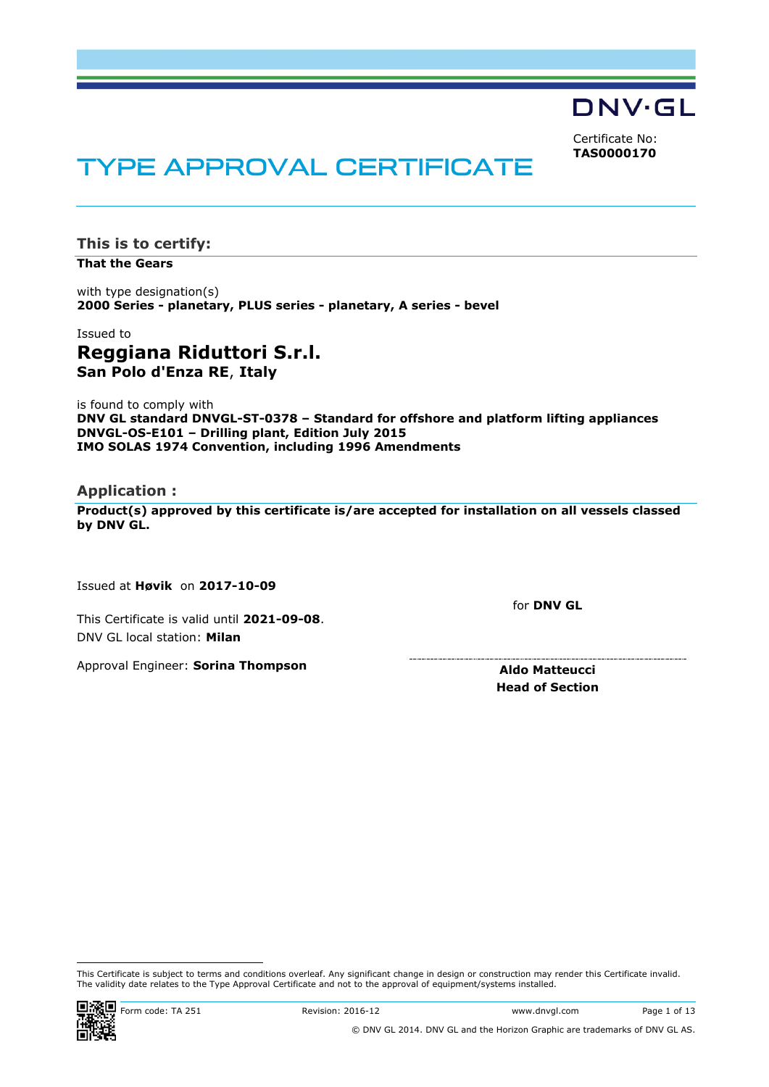DNV·GL

Certificate No: **TAS0000170**

# **TYPE APPROVAL CERTIFICATE**

**This is to certify:**

**That the Gears**

with type designation(s) **2000 Series - planetary, PLUS series - planetary, A series - bevel**

Issued to **Reggiana Riduttori S.r.l. San Polo d'Enza RE**, **Italy**

is found to comply with **DNV GL standard DNVGL-ST-0378 – Standard for offshore and platform lifting appliances DNVGL-OS-E101 – Drilling plant, Edition July 2015 IMO SOLAS 1974 Convention, including 1996 Amendments**

## **Application :**

**Product(s) approved by this certificate is/are accepted for installation on all vessels classed by DNV GL.**

Issued at **Høvik** on **2017-10-09**

This Certificate is valid until **2021-09-08**. DNV GL local station: **Milan**

Approval Engineer: **Sorina Thompson**

for **DNV GL**

**Aldo Matteucci Head of Section**

 This Certificate is subject to terms and conditions overleaf. Any significant change in design or construction may render this Certificate invalid. The validity date relates to the Type Approval Certificate and not to the approval of equipment/systems installed.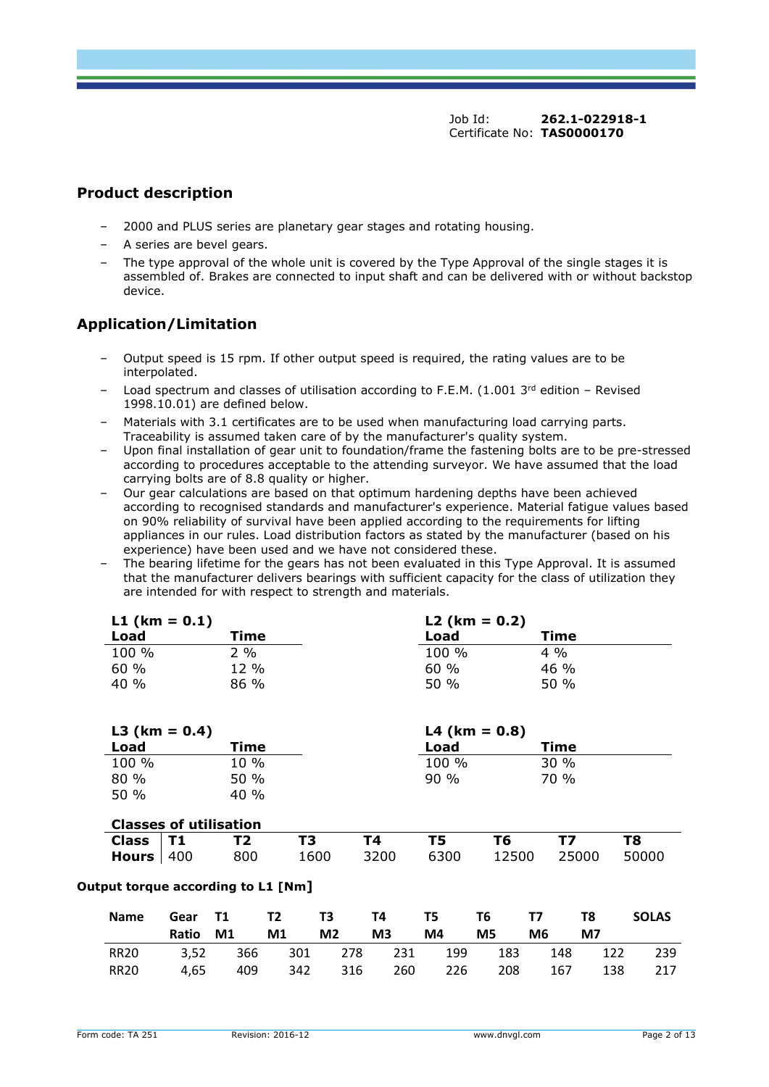## **Product description**

- ‒ 2000 and PLUS series are planetary gear stages and rotating housing.
- ‒ A series are bevel gears.
- The type approval of the whole unit is covered by the Type Approval of the single stages it is assembled of. Brakes are connected to input shaft and can be delivered with or without backstop device.

# **Application/Limitation**

- ‒ Output speed is 15 rpm. If other output speed is required, the rating values are to be interpolated.
- Load spectrum and classes of utilisation according to F.E.M. (1.001  $3<sup>rd</sup>$  edition Revised 1998.10.01) are defined below.
- Materials with 3.1 certificates are to be used when manufacturing load carrying parts. Traceability is assumed taken care of by the manufacturer's quality system.
- ‒ Upon final installation of gear unit to foundation/frame the fastening bolts are to be pre-stressed according to procedures acceptable to the attending surveyor. We have assumed that the load carrying bolts are of 8.8 quality or higher.
- ‒ Our gear calculations are based on that optimum hardening depths have been achieved according to recognised standards and manufacturer's experience. Material fatigue values based on 90% reliability of survival have been applied according to the requirements for lifting appliances in our rules. Load distribution factors as stated by the manufacturer (based on his experience) have been used and we have not considered these.
- ‒ The bearing lifetime for the gears has not been evaluated in this Type Approval. It is assumed that the manufacturer delivers bearings with sufficient capacity for the class of utilization they are intended for with respect to strength and materials.

| L1 (km = $0.1$ ) |        | $L2$ (km = 0.2) |        |  |  |  |
|------------------|--------|-----------------|--------|--|--|--|
| Load             | Time   | Load            | Time   |  |  |  |
| 100 %            | $2\%$  | 100 %           | $4\%$  |  |  |  |
| 60%              | $12\%$ | 60%             | $46\%$ |  |  |  |
| 40 %             | $86\%$ | 50 %            | $50\%$ |  |  |  |

| L3 ( $km = 0.4$ ) |                               |        |      |      | $L4$ (km = 0.8) |       |       |       |
|-------------------|-------------------------------|--------|------|------|-----------------|-------|-------|-------|
| Load              |                               | Time   |      |      | Load            |       | Time  |       |
| 100 %             |                               | 10 %   |      |      | 100 %           |       | 30%   |       |
| 80 %              |                               | 50 %   |      |      | $90\%$          |       | 70 %  |       |
| 50%               |                               | $40\%$ |      |      |                 |       |       |       |
|                   |                               |        |      |      |                 |       |       |       |
|                   | <b>Classes of utilisation</b> |        |      |      |                 |       |       |       |
| <b>Class</b>      | Τ1                            | Т2     | ТЗ   | Τ4   | Τ5              | Т6    | Т7    | T8    |
| <b>Hours</b>      | 400                           | 800    | 1600 | 3200 | 6300            | 12500 | 25000 | 50000 |

#### **Output torque according to L1 [Nm]**

| <b>Name</b> | Ratio | M1 M1 M2             | M3 | Gear T1 T2 T3 T4 T5 T6 T7 T8<br><b>M4</b> | M5 <b>M</b>     | M6 1 | <b>M7</b> | <b>SOLAS</b> |
|-------------|-------|----------------------|----|-------------------------------------------|-----------------|------|-----------|--------------|
| <b>RR20</b> |       | 3,52 366 301 278 231 |    |                                           | 199 183 148 122 |      |           | - 239        |
| RR20        | 4.65  |                      |    | 409 342 316 260 226 208 167               |                 |      |           | 138 217      |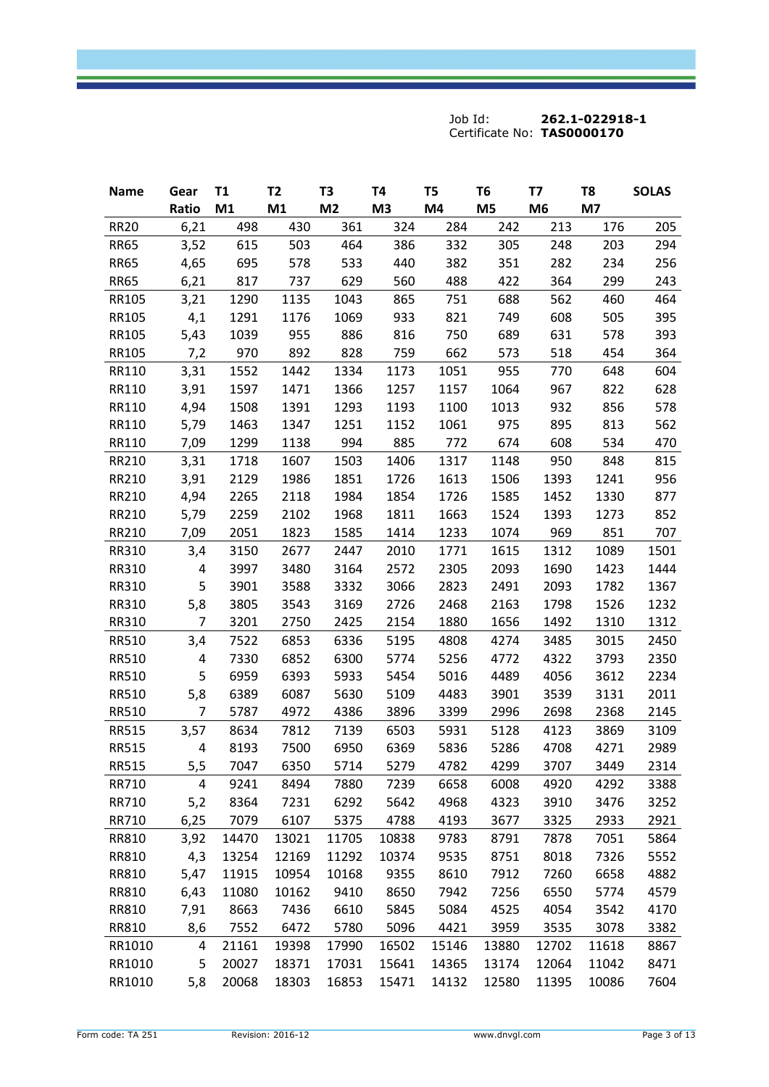| <b>Name</b>  | Gear           | T1    | T <sub>2</sub> | T3             | T4             | T <sub>5</sub> | T <sub>6</sub> | Т7             | T8    | <b>SOLAS</b> |
|--------------|----------------|-------|----------------|----------------|----------------|----------------|----------------|----------------|-------|--------------|
|              | Ratio          | M1    | M1             | M <sub>2</sub> | M <sub>3</sub> | M4             | M <sub>5</sub> | M <sub>6</sub> | M7    |              |
| <b>RR20</b>  | 6,21           | 498   | 430            | 361            | 324            | 284            | 242            | 213            | 176   | 205          |
| <b>RR65</b>  | 3,52           | 615   | 503            | 464            | 386            | 332            | 305            | 248            | 203   | 294          |
| <b>RR65</b>  | 4,65           | 695   | 578            | 533            | 440            | 382            | 351            | 282            | 234   | 256          |
| <b>RR65</b>  | 6,21           | 817   | 737            | 629            | 560            | 488            | 422            | 364            | 299   | 243          |
| RR105        | 3,21           | 1290  | 1135           | 1043           | 865            | 751            | 688            | 562            | 460   | 464          |
| RR105        | 4,1            | 1291  | 1176           | 1069           | 933            | 821            | 749            | 608            | 505   | 395          |
| RR105        | 5,43           | 1039  | 955            | 886            | 816            | 750            | 689            | 631            | 578   | 393          |
| RR105        | 7,2            | 970   | 892            | 828            | 759            | 662            | 573            | 518            | 454   | 364          |
| RR110        | 3,31           | 1552  | 1442           | 1334           | 1173           | 1051           | 955            | 770            | 648   | 604          |
| RR110        | 3,91           | 1597  | 1471           | 1366           | 1257           | 1157           | 1064           | 967            | 822   | 628          |
| RR110        | 4,94           | 1508  | 1391           | 1293           | 1193           | 1100           | 1013           | 932            | 856   | 578          |
| RR110        | 5,79           | 1463  | 1347           | 1251           | 1152           | 1061           | 975            | 895            | 813   | 562          |
| RR110        | 7,09           | 1299  | 1138           | 994            | 885            | 772            | 674            | 608            | 534   | 470          |
| RR210        | 3,31           | 1718  | 1607           | 1503           | 1406           | 1317           | 1148           | 950            | 848   | 815          |
| RR210        | 3,91           | 2129  | 1986           | 1851           | 1726           | 1613           | 1506           | 1393           | 1241  | 956          |
| RR210        | 4,94           | 2265  | 2118           | 1984           | 1854           | 1726           | 1585           | 1452           | 1330  | 877          |
| RR210        | 5,79           | 2259  | 2102           | 1968           | 1811           | 1663           | 1524           | 1393           | 1273  | 852          |
| RR210        | 7,09           | 2051  | 1823           | 1585           | 1414           | 1233           | 1074           | 969            | 851   | 707          |
| RR310        | 3,4            | 3150  | 2677           | 2447           | 2010           | 1771           | 1615           | 1312           | 1089  | 1501         |
| RR310        | 4              | 3997  | 3480           | 3164           | 2572           | 2305           | 2093           | 1690           | 1423  | 1444         |
| RR310        | 5              | 3901  | 3588           | 3332           | 3066           | 2823           | 2491           | 2093           | 1782  | 1367         |
| RR310        | 5,8            | 3805  | 3543           | 3169           | 2726           | 2468           | 2163           | 1798           | 1526  | 1232         |
| RR310        | $\overline{7}$ | 3201  | 2750           | 2425           | 2154           | 1880           | 1656           | 1492           | 1310  | 1312         |
| RR510        | 3,4            | 7522  | 6853           | 6336           | 5195           | 4808           | 4274           | 3485           | 3015  | 2450         |
| RR510        | 4              | 7330  | 6852           | 6300           | 5774           | 5256           | 4772           | 4322           | 3793  | 2350         |
| RR510        | 5              | 6959  | 6393           | 5933           | 5454           | 5016           | 4489           | 4056           | 3612  | 2234         |
| <b>RR510</b> | 5,8            | 6389  | 6087           | 5630           | 5109           | 4483           | 3901           | 3539           | 3131  | 2011         |
| <b>RR510</b> | $\overline{7}$ | 5787  | 4972           | 4386           | 3896           | 3399           | 2996           | 2698           | 2368  | 2145         |
| <b>RR515</b> | 3,57           | 8634  | 7812           | 7139           | 6503           | 5931           | 5128           | 4123           | 3869  | 3109         |
| <b>RR515</b> | 4              | 8193  | 7500           | 6950           | 6369           | 5836           | 5286           | 4708           | 4271  | 2989         |
| <b>RR515</b> | 5,5            | 7047  | 6350           | 5714           | 5279           | 4782           | 4299           | 3707           | 3449  | 2314         |
| RR710        | 4              | 9241  | 8494           | 7880           | 7239           | 6658           | 6008           | 4920           | 4292  | 3388         |
| RR710        | 5,2            | 8364  | 7231           | 6292           | 5642           | 4968           | 4323           | 3910           | 3476  | 3252         |
| RR710        | 6,25           | 7079  | 6107           | 5375           | 4788           | 4193           | 3677           | 3325           | 2933  | 2921         |
| RR810        | 3,92           | 14470 | 13021          | 11705          | 10838          | 9783           | 8791           | 7878           | 7051  | 5864         |
| RR810        | 4,3            | 13254 | 12169          | 11292          | 10374          | 9535           | 8751           | 8018           | 7326  | 5552         |
| RR810        | 5,47           | 11915 | 10954          | 10168          | 9355           | 8610           | 7912           | 7260           | 6658  | 4882         |
| RR810        | 6,43           | 11080 | 10162          | 9410           | 8650           | 7942           | 7256           | 6550           | 5774  | 4579         |
| RR810        | 7,91           | 8663  | 7436           | 6610           | 5845           | 5084           | 4525           | 4054           | 3542  | 4170         |
| RR810        | 8,6            | 7552  | 6472           | 5780           | 5096           | 4421           | 3959           | 3535           | 3078  | 3382         |
| RR1010       | 4              | 21161 | 19398          | 17990          | 16502          | 15146          | 13880          | 12702          | 11618 | 8867         |
| RR1010       | 5              | 20027 | 18371          | 17031          | 15641          | 14365          | 13174          | 12064          | 11042 | 8471         |
| RR1010       | 5,8            | 20068 | 18303          | 16853          | 15471          | 14132          | 12580          | 11395          | 10086 | 7604         |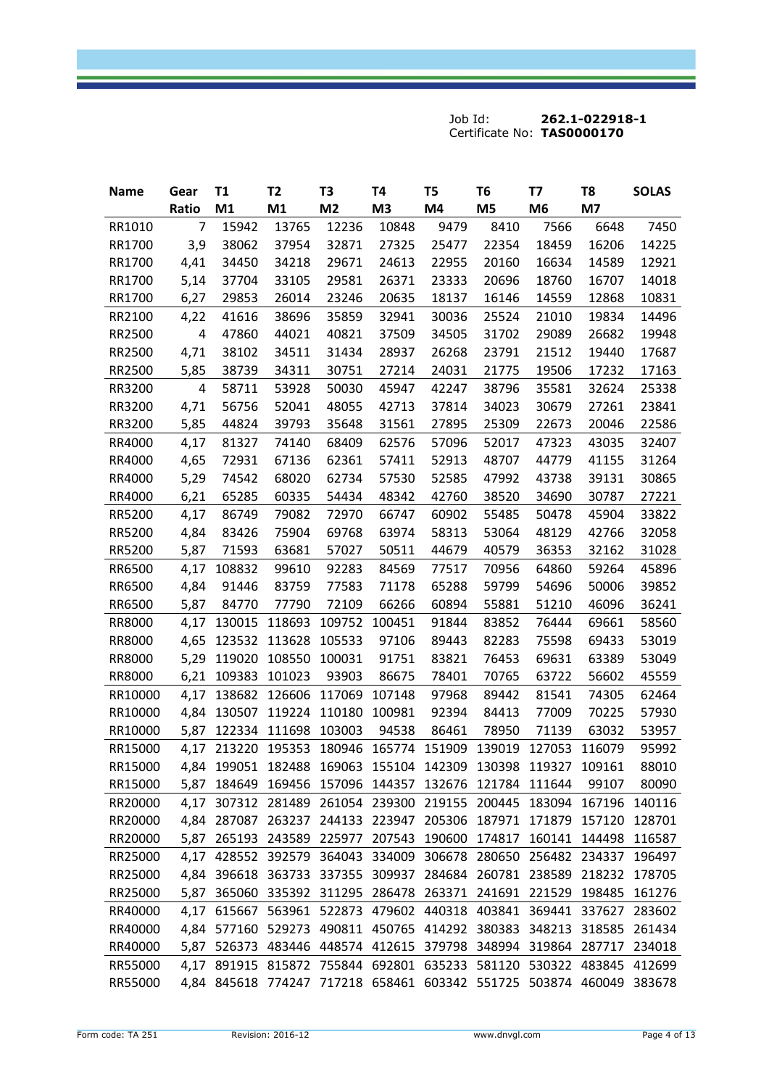| <b>Name</b> | Gear           | T1          | T <sub>2</sub>                                                      | T <sub>3</sub> | T4             | T <sub>5</sub> | T <sub>6</sub> | T7             | T8    | <b>SOLAS</b> |
|-------------|----------------|-------------|---------------------------------------------------------------------|----------------|----------------|----------------|----------------|----------------|-------|--------------|
|             | Ratio          | M1          | M1                                                                  | M <sub>2</sub> | M <sub>3</sub> | M4             | M <sub>5</sub> | M <sub>6</sub> | M7    |              |
| RR1010      | $\overline{7}$ | 15942       | 13765                                                               | 12236          | 10848          | 9479           | 8410           | 7566           | 6648  | 7450         |
| RR1700      | 3,9            | 38062       | 37954                                                               | 32871          | 27325          | 25477          | 22354          | 18459          | 16206 | 14225        |
| RR1700      | 4,41           | 34450       | 34218                                                               | 29671          | 24613          | 22955          | 20160          | 16634          | 14589 | 12921        |
| RR1700      | 5,14           | 37704       | 33105                                                               | 29581          | 26371          | 23333          | 20696          | 18760          | 16707 | 14018        |
| RR1700      | 6,27           | 29853       | 26014                                                               | 23246          | 20635          | 18137          | 16146          | 14559          | 12868 | 10831        |
| RR2100      | 4,22           | 41616       | 38696                                                               | 35859          | 32941          | 30036          | 25524          | 21010          | 19834 | 14496        |
| RR2500      | 4              | 47860       | 44021                                                               | 40821          | 37509          | 34505          | 31702          | 29089          | 26682 | 19948        |
| RR2500      | 4,71           | 38102       | 34511                                                               | 31434          | 28937          | 26268          | 23791          | 21512          | 19440 | 17687        |
| RR2500      | 5,85           | 38739       | 34311                                                               | 30751          | 27214          | 24031          | 21775          | 19506          | 17232 | 17163        |
| RR3200      | 4              | 58711       | 53928                                                               | 50030          | 45947          | 42247          | 38796          | 35581          | 32624 | 25338        |
| RR3200      | 4,71           | 56756       | 52041                                                               | 48055          | 42713          | 37814          | 34023          | 30679          | 27261 | 23841        |
| RR3200      | 5,85           | 44824       | 39793                                                               | 35648          | 31561          | 27895          | 25309          | 22673          | 20046 | 22586        |
| RR4000      | 4,17           | 81327       | 74140                                                               | 68409          | 62576          | 57096          | 52017          | 47323          | 43035 | 32407        |
| RR4000      | 4,65           | 72931       | 67136                                                               | 62361          | 57411          | 52913          | 48707          | 44779          | 41155 | 31264        |
| RR4000      | 5,29           | 74542       | 68020                                                               | 62734          | 57530          | 52585          | 47992          | 43738          | 39131 | 30865        |
| RR4000      | 6,21           | 65285       | 60335                                                               | 54434          | 48342          | 42760          | 38520          | 34690          | 30787 | 27221        |
| RR5200      | 4,17           | 86749       | 79082                                                               | 72970          | 66747          | 60902          | 55485          | 50478          | 45904 | 33822        |
| RR5200      | 4,84           | 83426       | 75904                                                               | 69768          | 63974          | 58313          | 53064          | 48129          | 42766 | 32058        |
| RR5200      | 5,87           | 71593       | 63681                                                               | 57027          | 50511          | 44679          | 40579          | 36353          | 32162 | 31028        |
| RR6500      | 4,17           | 108832      | 99610                                                               | 92283          | 84569          | 77517          | 70956          | 64860          | 59264 | 45896        |
| RR6500      | 4,84           | 91446       | 83759                                                               | 77583          | 71178          | 65288          | 59799          | 54696          | 50006 | 39852        |
| RR6500      | 5,87           | 84770       | 77790                                                               | 72109          | 66266          | 60894          | 55881          | 51210          | 46096 | 36241        |
| RR8000      | 4,17           | 130015      | 118693                                                              | 109752         | 100451         | 91844          | 83852          | 76444          | 69661 | 58560        |
| RR8000      | 4,65           | 123532      | 113628                                                              | 105533         | 97106          | 89443          | 82283          | 75598          | 69433 | 53019        |
| RR8000      | 5,29           | 119020      | 108550                                                              | 100031         | 91751          | 83821          | 76453          | 69631          | 63389 | 53049        |
| RR8000      |                | 6,21 109383 | 101023                                                              | 93903          | 86675          | 78401          | 70765          | 63722          | 56602 | 45559        |
| RR10000     | 4,17           | 138682      | 126606                                                              | 117069         | 107148         | 97968          | 89442          | 81541          | 74305 | 62464        |
| RR10000     |                | 4,84 130507 | 119224                                                              | 110180         | 100981         | 92394          | 84413          | 77009          | 70225 | 57930        |
| RR10000     | 5,87           | 122334      | 111698                                                              | 103003         | 94538          | 86461          | 78950          | 71139          | 63032 | 53957        |
| RR15000     |                |             | 4,17 213220 195353 180946 165774 151909 139019 127053 116079        |                |                |                |                |                |       | 95992        |
| RR15000     |                |             | 4,84 199051 182488 169063 155104 142309 130398 119327 109161        |                |                |                |                |                |       | 88010        |
| RR15000     |                |             | 5,87 184649 169456 157096 144357 132676 121784 111644               |                |                |                |                |                | 99107 | 80090        |
| RR20000     |                |             | 4,17 307312 281489 261054 239300 219155 200445 183094 167196 140116 |                |                |                |                |                |       |              |
| RR20000     |                |             | 4,84 287087 263237 244133 223947 205306 187971 171879 157120        |                |                |                |                |                |       | 128701       |
| RR20000     |                |             | 5,87 265193 243589 225977 207543 190600 174817 160141 144498 116587 |                |                |                |                |                |       |              |
| RR25000     |                |             | 4,17 428552 392579 364043 334009 306678 280650 256482 234337 196497 |                |                |                |                |                |       |              |
| RR25000     |                |             | 4,84 396618 363733 337355 309937 284684 260781 238589 218232        |                |                |                |                |                |       | 178705       |
| RR25000     |                |             | 5,87 365060 335392 311295 286478 263371 241691 221529 198485 161276 |                |                |                |                |                |       |              |
| RR40000     |                |             | 4,17 615667 563961 522873 479602 440318 403841 369441 337627 283602 |                |                |                |                |                |       |              |
| RR40000     |                |             | 4,84 577160 529273 490811 450765 414292 380383 348213 318585        |                |                |                |                |                |       | 261434       |
| RR40000     |                |             | 5,87 526373 483446 448574 412615 379798 348994 319864 287717 234018 |                |                |                |                |                |       |              |
| RR55000     |                |             | 4,17 891915 815872 755844 692801 635233 581120 530322 483845 412699 |                |                |                |                |                |       |              |
| RR55000     |                |             | 4,84 845618 774247 717218 658461 603342 551725 503874 460049 383678 |                |                |                |                |                |       |              |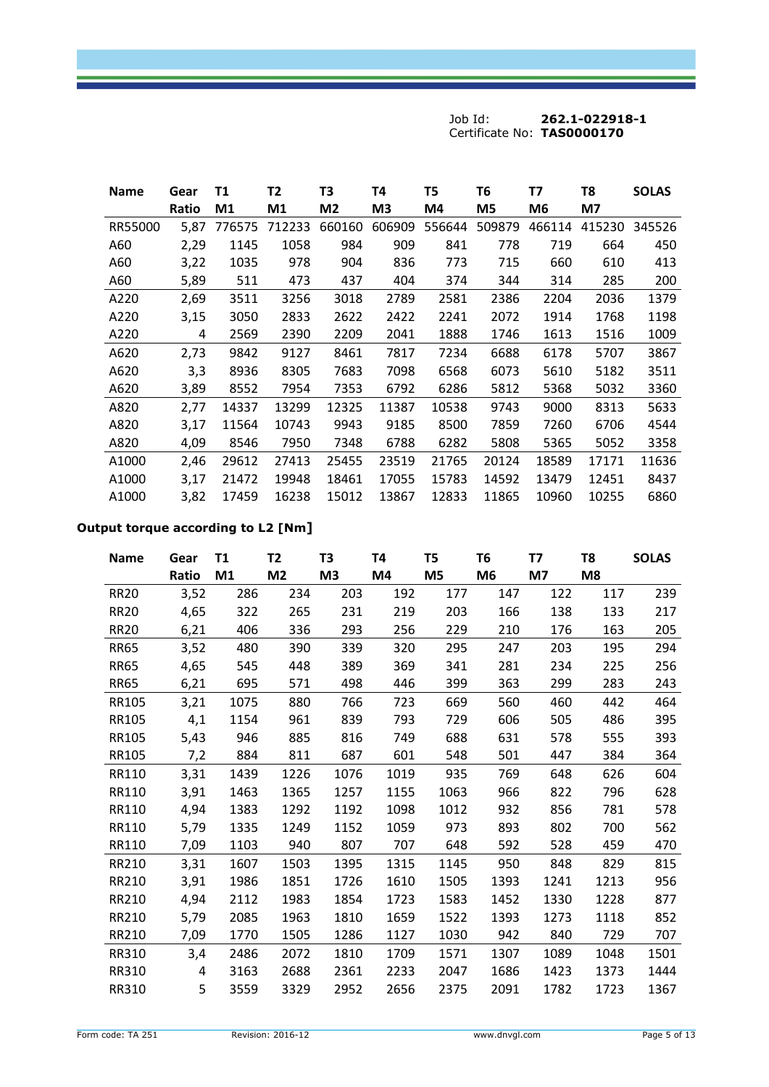| <b>Name</b> | Gear<br>Ratio | T1<br>M <sub>1</sub> | T2<br>M1 | T3<br>M <sub>2</sub> | T4<br>M3 | T5<br>M4 | Т6<br>M5 | T7<br>M6 | T8<br>M7 | <b>SOLAS</b> |
|-------------|---------------|----------------------|----------|----------------------|----------|----------|----------|----------|----------|--------------|
| RR55000     | 5.87          | 776575               | 712233   | 660160               | 606909   | 556644   | 509879   | 466114   | 415230   | 345526       |
| A60         | 2,29          | 1145                 | 1058     | 984                  | 909      | 841      | 778      | 719      | 664      | 450          |
| A60         | 3,22          | 1035                 | 978      | 904                  | 836      | 773      | 715      | 660      | 610      | 413          |
| A60         | 5,89          | 511                  | 473      | 437                  | 404      | 374      | 344      | 314      | 285      | 200          |
| A220        | 2,69          | 3511                 | 3256     | 3018                 | 2789     | 2581     | 2386     | 2204     | 2036     | 1379         |
| A220        | 3,15          | 3050                 | 2833     | 2622                 | 2422     | 2241     | 2072     | 1914     | 1768     | 1198         |
| A220        | 4             | 2569                 | 2390     | 2209                 | 2041     | 1888     | 1746     | 1613     | 1516     | 1009         |
| A620        | 2,73          | 9842                 | 9127     | 8461                 | 7817     | 7234     | 6688     | 6178     | 5707     | 3867         |
| A620        | 3,3           | 8936                 | 8305     | 7683                 | 7098     | 6568     | 6073     | 5610     | 5182     | 3511         |
| A620        | 3,89          | 8552                 | 7954     | 7353                 | 6792     | 6286     | 5812     | 5368     | 5032     | 3360         |
| A820        | 2,77          | 14337                | 13299    | 12325                | 11387    | 10538    | 9743     | 9000     | 8313     | 5633         |
| A820        | 3,17          | 11564                | 10743    | 9943                 | 9185     | 8500     | 7859     | 7260     | 6706     | 4544         |
| A820        | 4,09          | 8546                 | 7950     | 7348                 | 6788     | 6282     | 5808     | 5365     | 5052     | 3358         |
| A1000       | 2,46          | 29612                | 27413    | 25455                | 23519    | 21765    | 20124    | 18589    | 17171    | 11636        |
| A1000       | 3,17          | 21472                | 19948    | 18461                | 17055    | 15783    | 14592    | 13479    | 12451    | 8437         |
| A1000       | 3,82          | 17459                | 16238    | 15012                | 13867    | 12833    | 11865    | 10960    | 10255    | 6860         |

# **Output torque according to L2 [Nm]**

| <b>Name</b>  | Gear<br><b>Ratio</b> | <b>T1</b><br>M1 | T <sub>2</sub><br>M <sub>2</sub> | T <sub>3</sub><br>M <sub>3</sub> | T4<br>M4 | T <sub>5</sub><br>M5 | T6<br>M <sub>6</sub> | T7<br>M7 | T <sub>8</sub><br>M8 | <b>SOLAS</b> |
|--------------|----------------------|-----------------|----------------------------------|----------------------------------|----------|----------------------|----------------------|----------|----------------------|--------------|
| <b>RR20</b>  | 3,52                 | 286             | 234                              | 203                              | 192      | 177                  | 147                  | 122      | 117                  | 239          |
| <b>RR20</b>  | 4,65                 | 322             | 265                              | 231                              | 219      | 203                  | 166                  | 138      | 133                  | 217          |
| <b>RR20</b>  | 6,21                 | 406             | 336                              | 293                              | 256      | 229                  | 210                  | 176      | 163                  | 205          |
| <b>RR65</b>  | 3,52                 | 480             | 390                              | 339                              | 320      | 295                  | 247                  | 203      | 195                  | 294          |
| <b>RR65</b>  | 4,65                 | 545             | 448                              | 389                              | 369      | 341                  | 281                  | 234      | 225                  | 256          |
| <b>RR65</b>  | 6,21                 | 695             | 571                              | 498                              | 446      | 399                  | 363                  | 299      | 283                  | 243          |
| RR105        | 3,21                 | 1075            | 880                              | 766                              | 723      | 669                  | 560                  | 460      | 442                  | 464          |
| RR105        | 4,1                  | 1154            | 961                              | 839                              | 793      | 729                  | 606                  | 505      | 486                  | 395          |
| RR105        | 5,43                 | 946             | 885                              | 816                              | 749      | 688                  | 631                  | 578      | 555                  | 393          |
| <b>RR105</b> | 7,2                  | 884             | 811                              | 687                              | 601      | 548                  | 501                  | 447      | 384                  | 364          |
| RR110        | 3,31                 | 1439            | 1226                             | 1076                             | 1019     | 935                  | 769                  | 648      | 626                  | 604          |
| RR110        | 3,91                 | 1463            | 1365                             | 1257                             | 1155     | 1063                 | 966                  | 822      | 796                  | 628          |
| RR110        | 4,94                 | 1383            | 1292                             | 1192                             | 1098     | 1012                 | 932                  | 856      | 781                  | 578          |
| RR110        | 5,79                 | 1335            | 1249                             | 1152                             | 1059     | 973                  | 893                  | 802      | 700                  | 562          |
| RR110        | 7,09                 | 1103            | 940                              | 807                              | 707      | 648                  | 592                  | 528      | 459                  | 470          |
| RR210        | 3,31                 | 1607            | 1503                             | 1395                             | 1315     | 1145                 | 950                  | 848      | 829                  | 815          |
| RR210        | 3,91                 | 1986            | 1851                             | 1726                             | 1610     | 1505                 | 1393                 | 1241     | 1213                 | 956          |
| RR210        | 4,94                 | 2112            | 1983                             | 1854                             | 1723     | 1583                 | 1452                 | 1330     | 1228                 | 877          |
| RR210        | 5,79                 | 2085            | 1963                             | 1810                             | 1659     | 1522                 | 1393                 | 1273     | 1118                 | 852          |
| RR210        | 7,09                 | 1770            | 1505                             | 1286                             | 1127     | 1030                 | 942                  | 840      | 729                  | 707          |
| <b>RR310</b> | 3,4                  | 2486            | 2072                             | 1810                             | 1709     | 1571                 | 1307                 | 1089     | 1048                 | 1501         |
| <b>RR310</b> | 4                    | 3163            | 2688                             | 2361                             | 2233     | 2047                 | 1686                 | 1423     | 1373                 | 1444         |
| <b>RR310</b> | 5                    | 3559            | 3329                             | 2952                             | 2656     | 2375                 | 2091                 | 1782     | 1723                 | 1367         |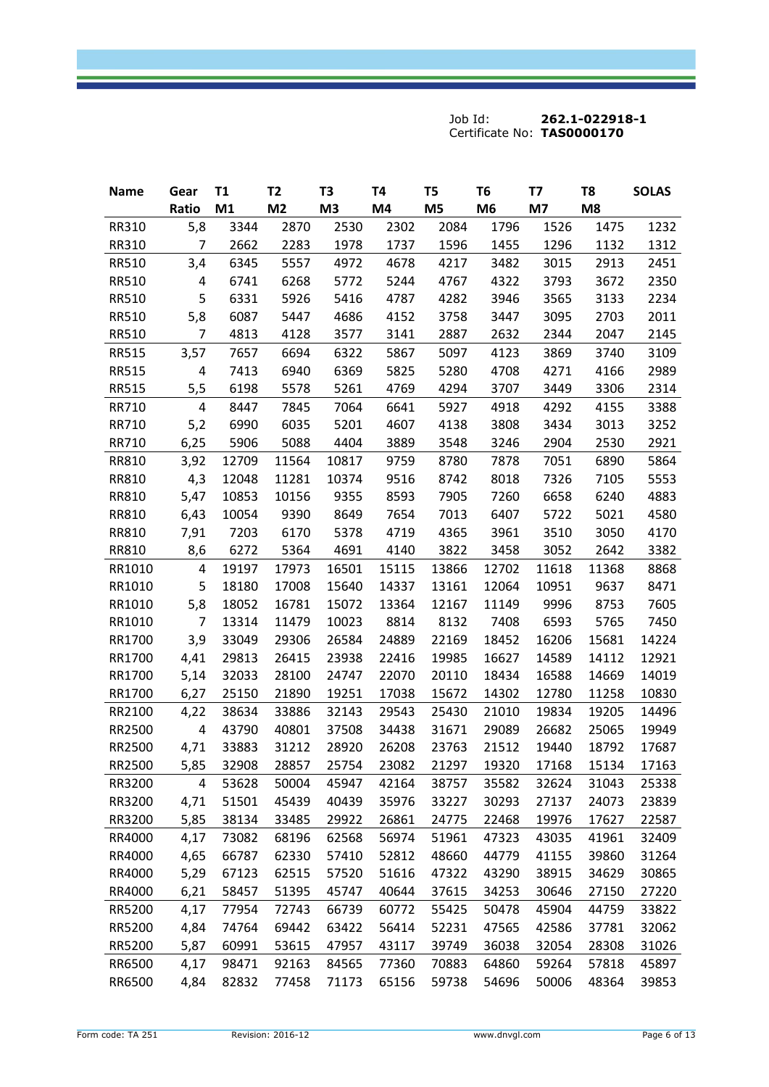| <b>Name</b>  | Gear           | T1    | T <sub>2</sub> | T3             | Т4    | T <sub>5</sub> | T <sub>6</sub> | Т7    | T8             | <b>SOLAS</b> |
|--------------|----------------|-------|----------------|----------------|-------|----------------|----------------|-------|----------------|--------------|
|              | Ratio          | M1    | M <sub>2</sub> | M <sub>3</sub> | M4    | M <sub>5</sub> | M <sub>6</sub> | M7    | M <sub>8</sub> |              |
| <b>RR310</b> | 5,8            | 3344  | 2870           | 2530           | 2302  | 2084           | 1796           | 1526  | 1475           | 1232         |
| RR310        | 7              | 2662  | 2283           | 1978           | 1737  | 1596           | 1455           | 1296  | 1132           | 1312         |
| RR510        | 3,4            | 6345  | 5557           | 4972           | 4678  | 4217           | 3482           | 3015  | 2913           | 2451         |
| RR510        | 4              | 6741  | 6268           | 5772           | 5244  | 4767           | 4322           | 3793  | 3672           | 2350         |
| <b>RR510</b> | 5              | 6331  | 5926           | 5416           | 4787  | 4282           | 3946           | 3565  | 3133           | 2234         |
| RR510        | 5,8            | 6087  | 5447           | 4686           | 4152  | 3758           | 3447           | 3095  | 2703           | 2011         |
| RR510        | $\overline{7}$ | 4813  | 4128           | 3577           | 3141  | 2887           | 2632           | 2344  | 2047           | 2145         |
| <b>RR515</b> | 3,57           | 7657  | 6694           | 6322           | 5867  | 5097           | 4123           | 3869  | 3740           | 3109         |
| <b>RR515</b> | 4              | 7413  | 6940           | 6369           | 5825  | 5280           | 4708           | 4271  | 4166           | 2989         |
| <b>RR515</b> | 5,5            | 6198  | 5578           | 5261           | 4769  | 4294           | 3707           | 3449  | 3306           | 2314         |
| RR710        | 4              | 8447  | 7845           | 7064           | 6641  | 5927           | 4918           | 4292  | 4155           | 3388         |
| RR710        | 5,2            | 6990  | 6035           | 5201           | 4607  | 4138           | 3808           | 3434  | 3013           | 3252         |
| RR710        | 6,25           | 5906  | 5088           | 4404           | 3889  | 3548           | 3246           | 2904  | 2530           | 2921         |
| RR810        | 3,92           | 12709 | 11564          | 10817          | 9759  | 8780           | 7878           | 7051  | 6890           | 5864         |
| RR810        | 4,3            | 12048 | 11281          | 10374          | 9516  | 8742           | 8018           | 7326  | 7105           | 5553         |
| RR810        | 5,47           | 10853 | 10156          | 9355           | 8593  | 7905           | 7260           | 6658  | 6240           | 4883         |
| RR810        | 6,43           | 10054 | 9390           | 8649           | 7654  | 7013           | 6407           | 5722  | 5021           | 4580         |
| RR810        | 7,91           | 7203  | 6170           | 5378           | 4719  | 4365           | 3961           | 3510  | 3050           | 4170         |
| RR810        | 8,6            | 6272  | 5364           | 4691           | 4140  | 3822           | 3458           | 3052  | 2642           | 3382         |
| RR1010       | 4              | 19197 | 17973          | 16501          | 15115 | 13866          | 12702          | 11618 | 11368          | 8868         |
| RR1010       | 5              | 18180 | 17008          | 15640          | 14337 | 13161          | 12064          | 10951 | 9637           | 8471         |
| RR1010       | 5,8            | 18052 | 16781          | 15072          | 13364 | 12167          | 11149          | 9996  | 8753           | 7605         |
| RR1010       | 7              | 13314 | 11479          | 10023          | 8814  | 8132           | 7408           | 6593  | 5765           | 7450         |
| RR1700       | 3,9            | 33049 | 29306          | 26584          | 24889 | 22169          | 18452          | 16206 | 15681          | 14224        |
| RR1700       | 4,41           | 29813 | 26415          | 23938          | 22416 | 19985          | 16627          | 14589 | 14112          | 12921        |
| RR1700       | 5,14           | 32033 | 28100          | 24747          | 22070 | 20110          | 18434          | 16588 | 14669          | 14019        |
| RR1700       | 6,27           | 25150 | 21890          | 19251          | 17038 | 15672          | 14302          | 12780 | 11258          | 10830        |
| RR2100       | 4,22           | 38634 | 33886          | 32143          | 29543 | 25430          | 21010          | 19834 | 19205          | 14496        |
| RR2500       | 4              | 43790 | 40801          | 37508          | 34438 | 31671          | 29089          | 26682 | 25065          | 19949        |
| RR2500       | 4,71           | 33883 | 31212          | 28920          | 26208 | 23763          | 21512          | 19440 | 18792          | 17687        |
| RR2500       | 5,85           | 32908 | 28857          | 25754          | 23082 | 21297          | 19320          | 17168 | 15134          | 17163        |
| RR3200       | 4              | 53628 | 50004          | 45947          | 42164 | 38757          | 35582          | 32624 | 31043          | 25338        |
| RR3200       | 4,71           | 51501 | 45439          | 40439          | 35976 | 33227          | 30293          | 27137 | 24073          | 23839        |
| RR3200       | 5,85           | 38134 | 33485          | 29922          | 26861 | 24775          | 22468          | 19976 | 17627          | 22587        |
| RR4000       | 4,17           | 73082 | 68196          | 62568          | 56974 | 51961          | 47323          | 43035 | 41961          | 32409        |
| RR4000       | 4,65           | 66787 | 62330          | 57410          | 52812 | 48660          | 44779          | 41155 | 39860          | 31264        |
| RR4000       | 5,29           | 67123 | 62515          | 57520          | 51616 | 47322          | 43290          | 38915 | 34629          | 30865        |
| RR4000       | 6,21           | 58457 | 51395          | 45747          | 40644 | 37615          | 34253          | 30646 | 27150          | 27220        |
| RR5200       | 4,17           | 77954 | 72743          | 66739          | 60772 | 55425          | 50478          | 45904 | 44759          | 33822        |
| RR5200       | 4,84           | 74764 | 69442          | 63422          | 56414 | 52231          | 47565          | 42586 | 37781          | 32062        |
| RR5200       | 5,87           | 60991 | 53615          | 47957          | 43117 | 39749          | 36038          | 32054 | 28308          | 31026        |
| RR6500       | 4,17           | 98471 | 92163          | 84565          | 77360 | 70883          | 64860          | 59264 | 57818          | 45897        |
| RR6500       | 4,84           | 82832 | 77458          | 71173          | 65156 | 59738          | 54696          | 50006 | 48364          | 39853        |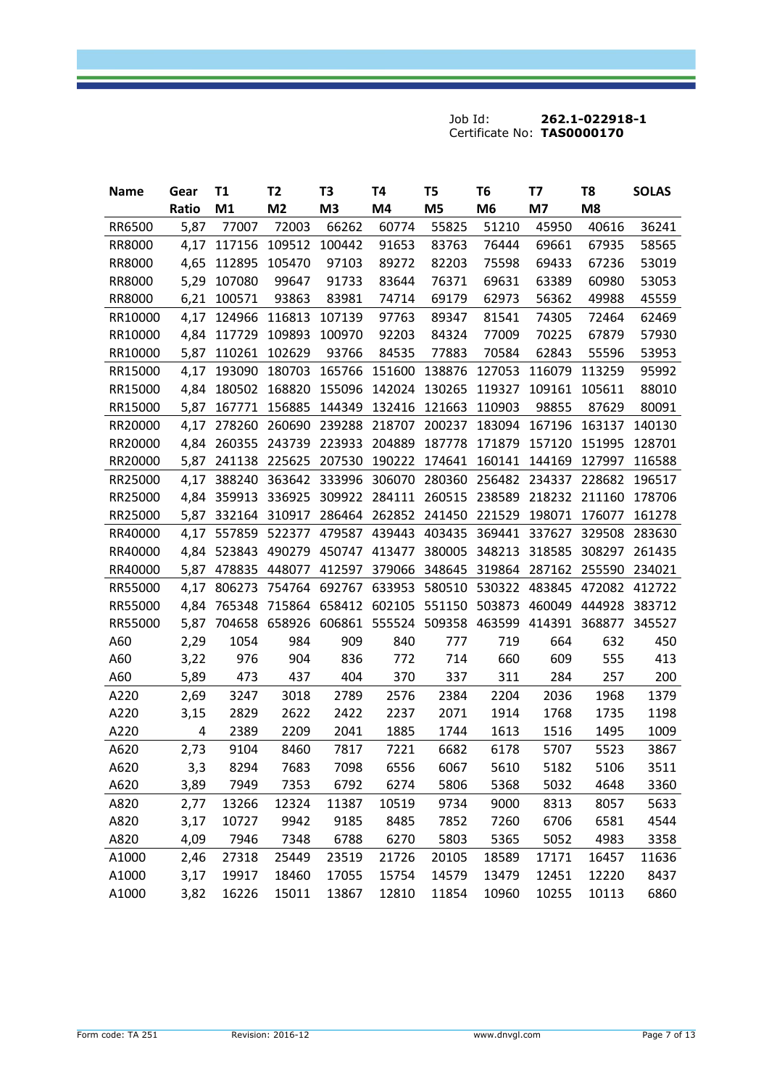| <b>Name</b> | Gear  | <b>T1</b>     | T2             | T3                                 | T4     | T5                   | T <sub>6</sub> | T7            | T8     | <b>SOLAS</b> |
|-------------|-------|---------------|----------------|------------------------------------|--------|----------------------|----------------|---------------|--------|--------------|
|             | Ratio | M1            | M <sub>2</sub> | M <sub>3</sub>                     | M4     | M <sub>5</sub>       | M <sub>6</sub> | M7            | M8     |              |
| RR6500      | 5,87  | 77007         | 72003          | 66262                              | 60774  | 55825                | 51210          | 45950         | 40616  | 36241        |
| RR8000      | 4,17  | 117156        | 109512         | 100442                             | 91653  | 83763                | 76444          | 69661         | 67935  | 58565        |
| RR8000      | 4,65  | 112895        | 105470         | 97103                              | 89272  | 82203                | 75598          | 69433         | 67236  | 53019        |
| RR8000      | 5,29  | 107080        | 99647          | 91733                              | 83644  | 76371                | 69631          | 63389         | 60980  | 53053        |
| RR8000      | 6,21  | 100571        | 93863          | 83981                              | 74714  | 69179                | 62973          | 56362         | 49988  | 45559        |
| RR10000     | 4,17  | 124966        | 116813         | 107139                             | 97763  | 89347                | 81541          | 74305         | 72464  | 62469        |
| RR10000     | 4,84  | 117729        | 109893         | 100970                             | 92203  | 84324                | 77009          | 70225         | 67879  | 57930        |
| RR10000     | 5,87  | 110261        | 102629         | 93766                              | 84535  | 77883                | 70584          | 62843         | 55596  | 53953        |
| RR15000     | 4,17  | 193090        | 180703         | 165766                             | 151600 | 138876               | 127053         | 116079        | 113259 | 95992        |
| RR15000     | 4,84  | 180502        | 168820         | 155096                             | 142024 | 130265               | 119327         | 109161        | 105611 | 88010        |
| RR15000     | 5,87  | 167771 156885 |                | 144349                             | 132416 | 121663               | 110903         | 98855         | 87629  | 80091        |
| RR20000     | 4,17  | 278260        | 260690         | 239288                             | 218707 | 200237               | 183094         | 167196        | 163137 | 140130       |
| RR20000     | 4,84  | 260355        | 243739         | 223933                             | 204889 | 187778               | 171879         | 157120        | 151995 | 128701       |
| RR20000     | 5,87  |               | 241138 225625  | 207530                             | 190222 | 174641 160141 144169 |                |               | 127997 | 116588       |
| RR25000     | 4,17  | 388240        | 363642         | 333996                             | 306070 | 280360               | 256482         | 234337        | 228682 | 196517       |
| RR25000     | 4,84  | 359913        | 336925         | 309922                             | 284111 | 260515               | 238589         | 218232        | 211160 | 178706       |
| RR25000     | 5,87  | 332164 310917 |                | 286464 262852 241450 221529        |        |                      |                | 198071 176077 |        | 161278       |
| RR40000     | 4,17  | 557859        | 522377         | 479587                             | 439443 | 403435               | 369441         | 337627        | 329508 | 283630       |
| RR40000     |       | 4,84 523843   | 490279         | 450747                             | 413477 | 380005               | 348213         | 318585        | 308297 | 261435       |
| RR40000     | 5,87  | 478835        | 448077         | 412597                             | 379066 | 348645               | 319864         | 287162 255590 |        | 234021       |
| RR55000     | 4,17  | 806273        | 754764         | 692767                             | 633953 | 580510               | 530322         | 483845        | 472082 | 412722       |
| RR55000     | 4,84  | 765348        | 715864         | 658412                             | 602105 |                      | 551150 503873  | 460049        | 444928 | 383712       |
| RR55000     | 5,87  | 704658 658926 |                | 606861 555524 509358 463599 414391 |        |                      |                |               | 368877 | 345527       |
| A60         | 2,29  | 1054          | 984            | 909                                | 840    | 777                  | 719            | 664           | 632    | 450          |
| A60         | 3,22  | 976           | 904            | 836                                | 772    | 714                  | 660            | 609           | 555    | 413          |
| A60         | 5,89  | 473           | 437            | 404                                | 370    | 337                  | 311            | 284           | 257    | 200          |
| A220        | 2,69  | 3247          | 3018           | 2789                               | 2576   | 2384                 | 2204           | 2036          | 1968   | 1379         |
| A220        | 3,15  | 2829          | 2622           | 2422                               | 2237   | 2071                 | 1914           | 1768          | 1735   | 1198         |
| A220        | 4     | 2389          | 2209           | 2041                               | 1885   | 1744                 | 1613           | 1516          | 1495   | 1009         |
| A620        | 2,73  | 9104          | 8460           | 7817                               | 7221   | 6682                 | 6178           | 5707          | 5523   | 3867         |
| A620        | 3,3   | 8294          | 7683           | 7098                               | 6556   | 6067                 | 5610           | 5182          | 5106   | 3511         |
| A620        | 3,89  | 7949          | 7353           | 6792                               | 6274   | 5806                 | 5368           | 5032          | 4648   | 3360         |
| A820        | 2,77  | 13266         | 12324          | 11387                              | 10519  | 9734                 | 9000           | 8313          | 8057   | 5633         |
| A820        | 3,17  | 10727         | 9942           | 9185                               | 8485   | 7852                 | 7260           | 6706          | 6581   | 4544         |
| A820        | 4,09  | 7946          | 7348           | 6788                               | 6270   | 5803                 | 5365           | 5052          | 4983   | 3358         |
| A1000       | 2,46  | 27318         | 25449          | 23519                              | 21726  | 20105                | 18589          | 17171         | 16457  | 11636        |
| A1000       | 3,17  | 19917         | 18460          | 17055                              | 15754  | 14579                | 13479          | 12451         | 12220  | 8437         |
| A1000       | 3,82  | 16226         | 15011          | 13867                              | 12810  | 11854                | 10960          | 10255         | 10113  | 6860         |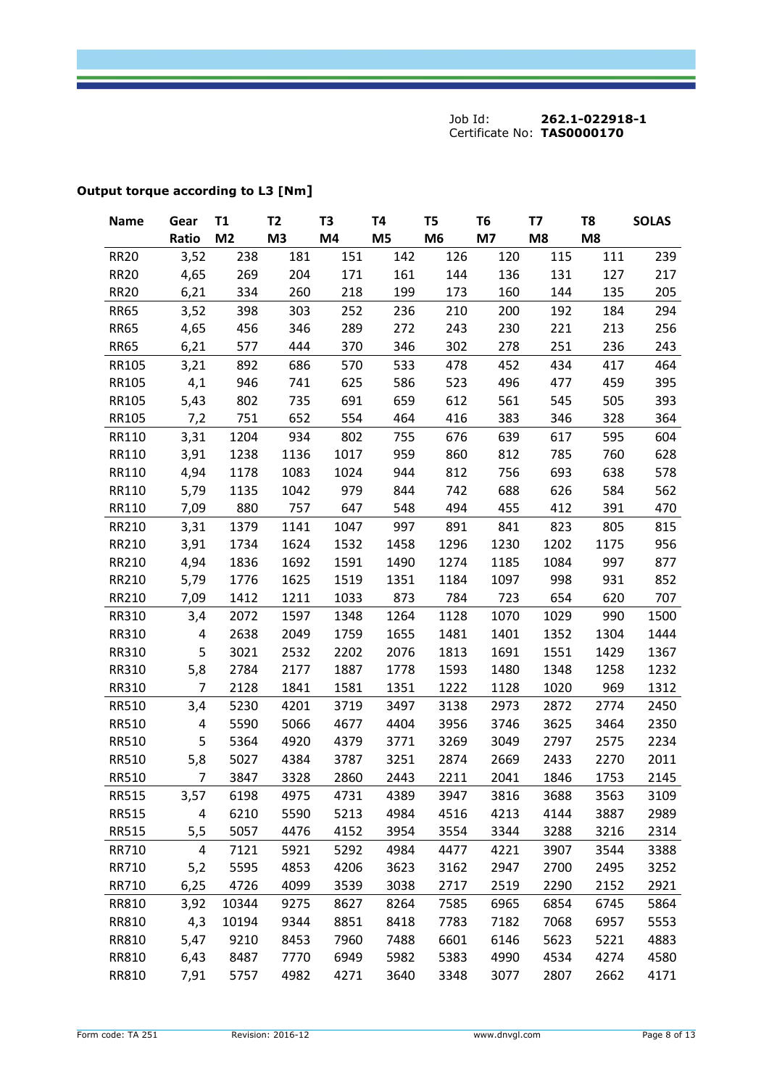| <b>Name</b>  | Gear           | T1             | T <sub>2</sub> | T <sub>3</sub> | T <sub>4</sub> | T5             | T <sub>6</sub> | T7   | T <sub>8</sub> | <b>SOLAS</b> |
|--------------|----------------|----------------|----------------|----------------|----------------|----------------|----------------|------|----------------|--------------|
|              | Ratio          | M <sub>2</sub> | M <sub>3</sub> | M4             | M <sub>5</sub> | M <sub>6</sub> | M7             | M8   | M8             |              |
| <b>RR20</b>  | 3,52           | 238            | 181            | 151            | 142            | 126            | 120            | 115  | 111            | 239          |
| <b>RR20</b>  | 4,65           | 269            | 204            | 171            | 161            | 144            | 136            | 131  | 127            | 217          |
| <b>RR20</b>  | 6,21           | 334            | 260            | 218            | 199            | 173            | 160            | 144  | 135            | 205          |
| <b>RR65</b>  | 3,52           | 398            | 303            | 252            | 236            | 210            | 200            | 192  | 184            | 294          |
| <b>RR65</b>  | 4,65           | 456            | 346            | 289            | 272            | 243            | 230            | 221  | 213            | 256          |
| <b>RR65</b>  | 6,21           | 577            | 444            | 370            | 346            | 302            | 278            | 251  | 236            | 243          |
| RR105        | 3,21           | 892            | 686            | 570            | 533            | 478            | 452            | 434  | 417            | 464          |
| RR105        | 4,1            | 946            | 741            | 625            | 586            | 523            | 496            | 477  | 459            | 395          |
| RR105        | 5,43           | 802            | 735            | 691            | 659            | 612            | 561            | 545  | 505            | 393          |
| RR105        | 7,2            | 751            | 652            | 554            | 464            | 416            | 383            | 346  | 328            | 364          |
| RR110        | 3,31           | 1204           | 934            | 802            | 755            | 676            | 639            | 617  | 595            | 604          |
| RR110        | 3,91           | 1238           | 1136           | 1017           | 959            | 860            | 812            | 785  | 760            | 628          |
| RR110        | 4,94           | 1178           | 1083           | 1024           | 944            | 812            | 756            | 693  | 638            | 578          |
| RR110        | 5,79           | 1135           | 1042           | 979            | 844            | 742            | 688            | 626  | 584            | 562          |
| RR110        | 7,09           | 880            | 757            | 647            | 548            | 494            | 455            | 412  | 391            | 470          |
| RR210        | 3,31           | 1379           | 1141           | 1047           | 997            | 891            | 841            | 823  | 805            | 815          |
| RR210        | 3,91           | 1734           | 1624           | 1532           | 1458           | 1296           | 1230           | 1202 | 1175           | 956          |
| RR210        | 4,94           | 1836           | 1692           | 1591           | 1490           | 1274           | 1185           | 1084 | 997            | 877          |
| RR210        | 5,79           | 1776           | 1625           | 1519           | 1351           | 1184           | 1097           | 998  | 931            | 852          |
| RR210        | 7,09           | 1412           | 1211           | 1033           | 873            | 784            | 723            | 654  | 620            | 707          |
| RR310        | 3,4            | 2072           | 1597           | 1348           | 1264           | 1128           | 1070           | 1029 | 990            | 1500         |
| RR310        | 4              | 2638           | 2049           | 1759           | 1655           | 1481           | 1401           | 1352 | 1304           | 1444         |
| RR310        | 5              | 3021           | 2532           | 2202           | 2076           | 1813           | 1691           | 1551 | 1429           | 1367         |
| RR310        | 5,8            | 2784           | 2177           | 1887           | 1778           | 1593           | 1480           | 1348 | 1258           | 1232         |
| RR310        | 7              | 2128           | 1841           | 1581           | 1351           | 1222           | 1128           | 1020 | 969            | 1312         |
| RR510        | 3,4            | 5230           | 4201           | 3719           | 3497           | 3138           | 2973           | 2872 | 2774           | 2450         |
| RR510        | 4              | 5590           | 5066           | 4677           | 4404           | 3956           | 3746           | 3625 | 3464           | 2350         |
| <b>RR510</b> | 5              | 5364           | 4920           | 4379           | 3771           | 3269           | 3049           | 2797 | 2575           | 2234         |
| <b>RR510</b> | 5,8            | 5027           | 4384           | 3787           | 3251           | 2874           | 2669           | 2433 | 2270           | 2011         |
| <b>RR510</b> | 7              | 3847           | 3328           | 2860           | 2443           | 2211           | 2041           | 1846 | 1753           | 2145         |
| RR515        | 3,57           | 6198           | 4975           | 4731           | 4389           | 3947           | 3816           | 3688 | 3563           | 3109         |
| <b>RR515</b> | 4              | 6210           | 5590           | 5213           | 4984           | 4516           | 4213           | 4144 | 3887           | 2989         |
| <b>RR515</b> | 5,5            | 5057           | 4476           | 4152           | 3954           | 3554           | 3344           | 3288 | 3216           | 2314         |
| RR710        | $\overline{4}$ | 7121           | 5921           | 5292           | 4984           | 4477           | 4221           | 3907 | 3544           | 3388         |
| RR710        | 5,2            | 5595           | 4853           | 4206           | 3623           | 3162           | 2947           | 2700 | 2495           | 3252         |
| RR710        | 6,25           | 4726           | 4099           | 3539           | 3038           | 2717           | 2519           | 2290 | 2152           | 2921         |
| RR810        | 3,92           | 10344          | 9275           | 8627           | 8264           | 7585           | 6965           | 6854 | 6745           | 5864         |
| RR810        | 4,3            | 10194          | 9344           | 8851           | 8418           | 7783           | 7182           | 7068 | 6957           | 5553         |
| RR810        | 5,47           | 9210           | 8453           | 7960           | 7488           | 6601           | 6146           | 5623 | 5221           | 4883         |
| RR810        | 6,43           | 8487           | 7770           | 6949           | 5982           | 5383           | 4990           | 4534 | 4274           | 4580         |
| RR810        | 7,91           | 5757           | 4982           | 4271           | 3640           | 3348           | 3077           | 2807 | 2662           | 4171         |

# **Output torque according to L3 [Nm]**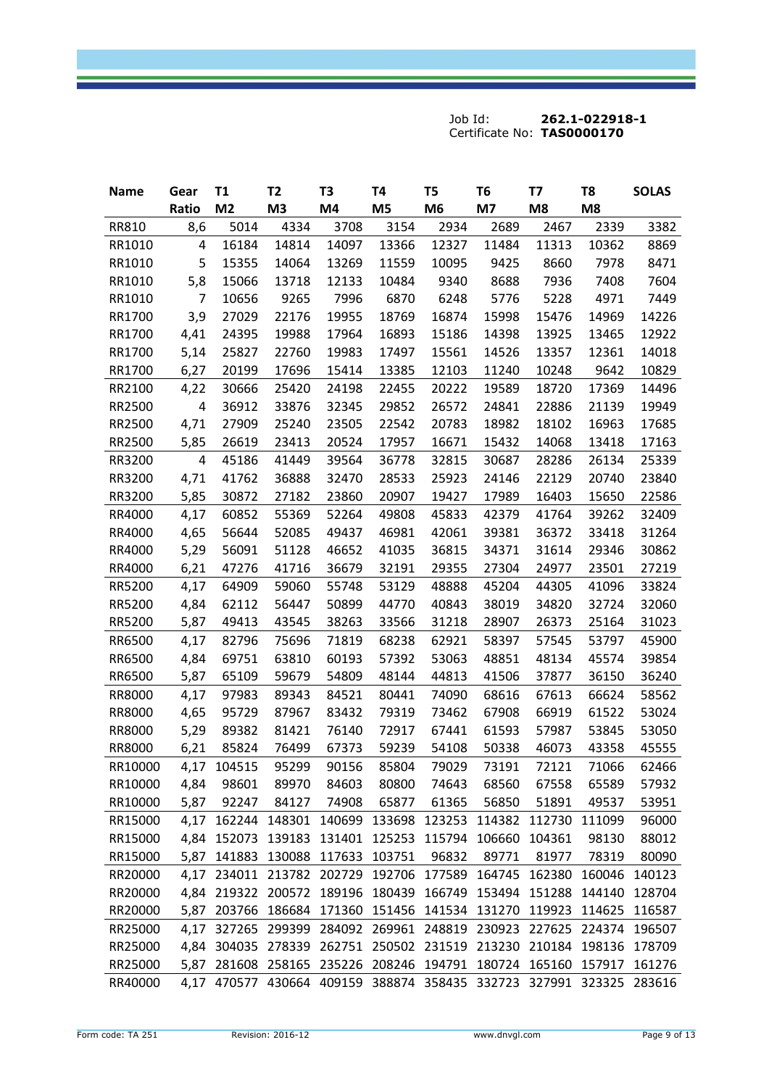| <b>Name</b> | Gear  | T1                                                                  | T <sub>2</sub> | T <sub>3</sub> | T4             | T5             | T <sub>6</sub> | Т7    | T <sub>8</sub> | <b>SOLAS</b> |
|-------------|-------|---------------------------------------------------------------------|----------------|----------------|----------------|----------------|----------------|-------|----------------|--------------|
|             | Ratio | M <sub>2</sub>                                                      | M <sub>3</sub> | M4             | M <sub>5</sub> | M <sub>6</sub> | M7             | M8    | M <sub>8</sub> |              |
| RR810       | 8,6   | 5014                                                                | 4334           | 3708           | 3154           | 2934           | 2689           | 2467  | 2339           | 3382         |
| RR1010      | 4     | 16184                                                               | 14814          | 14097          | 13366          | 12327          | 11484          | 11313 | 10362          | 8869         |
| RR1010      | 5     | 15355                                                               | 14064          | 13269          | 11559          | 10095          | 9425           | 8660  | 7978           | 8471         |
| RR1010      | 5,8   | 15066                                                               | 13718          | 12133          | 10484          | 9340           | 8688           | 7936  | 7408           | 7604         |
| RR1010      | 7     | 10656                                                               | 9265           | 7996           | 6870           | 6248           | 5776           | 5228  | 4971           | 7449         |
| RR1700      | 3,9   | 27029                                                               | 22176          | 19955          | 18769          | 16874          | 15998          | 15476 | 14969          | 14226        |
| RR1700      | 4,41  | 24395                                                               | 19988          | 17964          | 16893          | 15186          | 14398          | 13925 | 13465          | 12922        |
| RR1700      | 5,14  | 25827                                                               | 22760          | 19983          | 17497          | 15561          | 14526          | 13357 | 12361          | 14018        |
| RR1700      | 6,27  | 20199                                                               | 17696          | 15414          | 13385          | 12103          | 11240          | 10248 | 9642           | 10829        |
| RR2100      | 4,22  | 30666                                                               | 25420          | 24198          | 22455          | 20222          | 19589          | 18720 | 17369          | 14496        |
| RR2500      | 4     | 36912                                                               | 33876          | 32345          | 29852          | 26572          | 24841          | 22886 | 21139          | 19949        |
| RR2500      | 4,71  | 27909                                                               | 25240          | 23505          | 22542          | 20783          | 18982          | 18102 | 16963          | 17685        |
| RR2500      | 5,85  | 26619                                                               | 23413          | 20524          | 17957          | 16671          | 15432          | 14068 | 13418          | 17163        |
| RR3200      | 4     | 45186                                                               | 41449          | 39564          | 36778          | 32815          | 30687          | 28286 | 26134          | 25339        |
| RR3200      | 4,71  | 41762                                                               | 36888          | 32470          | 28533          | 25923          | 24146          | 22129 | 20740          | 23840        |
| RR3200      | 5,85  | 30872                                                               | 27182          | 23860          | 20907          | 19427          | 17989          | 16403 | 15650          | 22586        |
| RR4000      | 4,17  | 60852                                                               | 55369          | 52264          | 49808          | 45833          | 42379          | 41764 | 39262          | 32409        |
| RR4000      | 4,65  | 56644                                                               | 52085          | 49437          | 46981          | 42061          | 39381          | 36372 | 33418          | 31264        |
| RR4000      | 5,29  | 56091                                                               | 51128          | 46652          | 41035          | 36815          | 34371          | 31614 | 29346          | 30862        |
| RR4000      | 6,21  | 47276                                                               | 41716          | 36679          | 32191          | 29355          | 27304          | 24977 | 23501          | 27219        |
| RR5200      | 4,17  | 64909                                                               | 59060          | 55748          | 53129          | 48888          | 45204          | 44305 | 41096          | 33824        |
| RR5200      | 4,84  | 62112                                                               | 56447          | 50899          | 44770          | 40843          | 38019          | 34820 | 32724          | 32060        |
| RR5200      | 5,87  | 49413                                                               | 43545          | 38263          | 33566          | 31218          | 28907          | 26373 | 25164          | 31023        |
| RR6500      | 4,17  | 82796                                                               | 75696          | 71819          | 68238          | 62921          | 58397          | 57545 | 53797          | 45900        |
| RR6500      | 4,84  | 69751                                                               | 63810          | 60193          | 57392          | 53063          | 48851          | 48134 | 45574          | 39854        |
| RR6500      | 5,87  | 65109                                                               | 59679          | 54809          | 48144          | 44813          | 41506          | 37877 | 36150          | 36240        |
| RR8000      | 4,17  | 97983                                                               | 89343          | 84521          | 80441          | 74090          | 68616          | 67613 | 66624          | 58562        |
| RR8000      | 4,65  | 95729                                                               | 87967          | 83432          | 79319          | 73462          | 67908          | 66919 | 61522          | 53024        |
| RR8000      | 5,29  | 89382                                                               | 81421          | 76140          | 72917          | 67441          | 61593          | 57987 | 53845          | 53050        |
| RR8000      | 6,21  | 85824                                                               | 76499          | 67373          | 59239          | 54108          | 50338          | 46073 | 43358          | 45555        |
| RR10000     |       | 4,17 104515                                                         | 95299          | 90156          | 85804          | 79029          | 73191          | 72121 | 71066          | 62466        |
| RR10000     | 4,84  | 98601                                                               | 89970          | 84603          | 80800          | 74643          | 68560          | 67558 | 65589          | 57932        |
| RR10000     | 5,87  | 92247                                                               | 84127          | 74908          | 65877          | 61365          | 56850          | 51891 | 49537          | 53951        |
| RR15000     |       | 4,17 162244 148301 140699 133698 123253 114382 112730 111099        |                |                |                |                |                |       |                | 96000        |
| RR15000     |       | 4,84 152073 139183 131401 125253 115794 106660 104361               |                |                |                |                |                |       | 98130          | 88012        |
| RR15000     |       | 5,87 141883 130088 117633 103751                                    |                |                |                | 96832          | 89771          | 81977 | 78319          | 80090        |
| RR20000     |       | 4,17 234011 213782 202729 192706 177589 164745 162380 160046        |                |                |                |                |                |       |                | 140123       |
| RR20000     |       | 4,84 219322 200572 189196 180439 166749 153494 151288 144140 128704 |                |                |                |                |                |       |                |              |
| RR20000     |       | 5,87 203766 186684 171360 151456 141534 131270 119923 114625 116587 |                |                |                |                |                |       |                |              |
| RR25000     |       | 4,17 327265 299399 284092 269961 248819 230923 227625 224374 196507 |                |                |                |                |                |       |                |              |
| RR25000     |       | 4,84 304035 278339 262751 250502 231519 213230 210184 198136        |                |                |                |                |                |       |                | 178709       |
| RR25000     |       | 5,87 281608 258165 235226 208246 194791 180724 165160 157917        |                |                |                |                |                |       |                | 161276       |
| RR40000     |       | 4,17 470577 430664 409159 388874 358435 332723 327991 323325 283616 |                |                |                |                |                |       |                |              |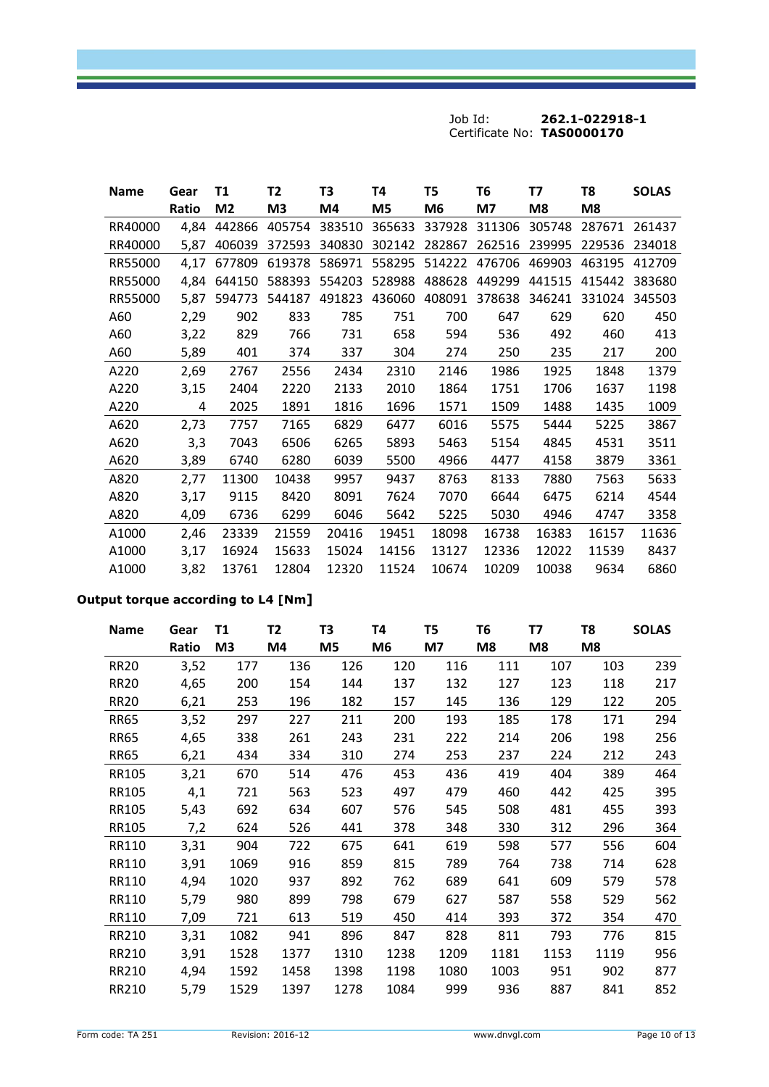| <b>Name</b> | Gear  | Τ1             | T <sub>2</sub> | T3     | Т4     | T5     | T6     | <b>T7</b> | T8     | <b>SOLAS</b> |
|-------------|-------|----------------|----------------|--------|--------|--------|--------|-----------|--------|--------------|
|             | Ratio | M <sub>2</sub> | M3             | M4     | M5     | M6     | M7     | M8        | M8     |              |
| RR40000     | 4,84  | 442866         | 405754         | 383510 | 365633 | 337928 | 311306 | 305748    | 287671 | 261437       |
| RR40000     | 5,87  | 406039         | 372593         | 340830 | 302142 | 282867 | 262516 | 239995    | 229536 | 234018       |
| RR55000     | 4,17  | 677809         | 619378         | 586971 | 558295 | 514222 | 476706 | 469903    | 463195 | 412709       |
| RR55000     | 4,84  | 644150         | 588393         | 554203 | 528988 | 488628 | 449299 | 441515    | 415442 | 383680       |
| RR55000     | 5,87  | 594773         | 544187         | 491823 | 436060 | 408091 | 378638 | 346241    | 331024 | 345503       |
| A60         | 2,29  | 902            | 833            | 785    | 751    | 700    | 647    | 629       | 620    | 450          |
| A60         | 3,22  | 829            | 766            | 731    | 658    | 594    | 536    | 492       | 460    | 413          |
| A60         | 5,89  | 401            | 374            | 337    | 304    | 274    | 250    | 235       | 217    | 200          |
| A220        | 2,69  | 2767           | 2556           | 2434   | 2310   | 2146   | 1986   | 1925      | 1848   | 1379         |
| A220        | 3,15  | 2404           | 2220           | 2133   | 2010   | 1864   | 1751   | 1706      | 1637   | 1198         |
| A220        | 4     | 2025           | 1891           | 1816   | 1696   | 1571   | 1509   | 1488      | 1435   | 1009         |
| A620        | 2,73  | 7757           | 7165           | 6829   | 6477   | 6016   | 5575   | 5444      | 5225   | 3867         |
| A620        | 3,3   | 7043           | 6506           | 6265   | 5893   | 5463   | 5154   | 4845      | 4531   | 3511         |
| A620        | 3,89  | 6740           | 6280           | 6039   | 5500   | 4966   | 4477   | 4158      | 3879   | 3361         |
| A820        | 2,77  | 11300          | 10438          | 9957   | 9437   | 8763   | 8133   | 7880      | 7563   | 5633         |
| A820        | 3,17  | 9115           | 8420           | 8091   | 7624   | 7070   | 6644   | 6475      | 6214   | 4544         |
| A820        | 4,09  | 6736           | 6299           | 6046   | 5642   | 5225   | 5030   | 4946      | 4747   | 3358         |
| A1000       | 2,46  | 23339          | 21559          | 20416  | 19451  | 18098  | 16738  | 16383     | 16157  | 11636        |
| A1000       | 3,17  | 16924          | 15633          | 15024  | 14156  | 13127  | 12336  | 12022     | 11539  | 8437         |
| A1000       | 3,82  | 13761          | 12804          | 12320  | 11524  | 10674  | 10209  | 10038     | 9634   | 6860         |

# **Output torque according to L4 [Nm]**

| <b>Name</b> | Gear  | Τ1             | T <sub>2</sub> | T3             | T4   | T5   | T6   | T7   | T8   | <b>SOLAS</b> |
|-------------|-------|----------------|----------------|----------------|------|------|------|------|------|--------------|
|             | Ratio | M <sub>3</sub> | M4             | M <sub>5</sub> | M6   | M7   | M8   | M8   | M8   |              |
| <b>RR20</b> | 3,52  | 177            | 136            | 126            | 120  | 116  | 111  | 107  | 103  | 239          |
| <b>RR20</b> | 4,65  | 200            | 154            | 144            | 137  | 132  | 127  | 123  | 118  | 217          |
| <b>RR20</b> | 6,21  | 253            | 196            | 182            | 157  | 145  | 136  | 129  | 122  | 205          |
| <b>RR65</b> | 3,52  | 297            | 227            | 211            | 200  | 193  | 185  | 178  | 171  | 294          |
| <b>RR65</b> | 4,65  | 338            | 261            | 243            | 231  | 222  | 214  | 206  | 198  | 256          |
| <b>RR65</b> | 6,21  | 434            | 334            | 310            | 274  | 253  | 237  | 224  | 212  | 243          |
| RR105       | 3,21  | 670            | 514            | 476            | 453  | 436  | 419  | 404  | 389  | 464          |
| RR105       | 4,1   | 721            | 563            | 523            | 497  | 479  | 460  | 442  | 425  | 395          |
| RR105       | 5,43  | 692            | 634            | 607            | 576  | 545  | 508  | 481  | 455  | 393          |
| RR105       | 7,2   | 624            | 526            | 441            | 378  | 348  | 330  | 312  | 296  | 364          |
| RR110       | 3,31  | 904            | 722            | 675            | 641  | 619  | 598  | 577  | 556  | 604          |
| RR110       | 3,91  | 1069           | 916            | 859            | 815  | 789  | 764  | 738  | 714  | 628          |
| RR110       | 4,94  | 1020           | 937            | 892            | 762  | 689  | 641  | 609  | 579  | 578          |
| RR110       | 5,79  | 980            | 899            | 798            | 679  | 627  | 587  | 558  | 529  | 562          |
| RR110       | 7,09  | 721            | 613            | 519            | 450  | 414  | 393  | 372  | 354  | 470          |
| RR210       | 3,31  | 1082           | 941            | 896            | 847  | 828  | 811  | 793  | 776  | 815          |
| RR210       | 3,91  | 1528           | 1377           | 1310           | 1238 | 1209 | 1181 | 1153 | 1119 | 956          |
| RR210       | 4,94  | 1592           | 1458           | 1398           | 1198 | 1080 | 1003 | 951  | 902  | 877          |
| RR210       | 5,79  | 1529           | 1397           | 1278           | 1084 | 999  | 936  | 887  | 841  | 852          |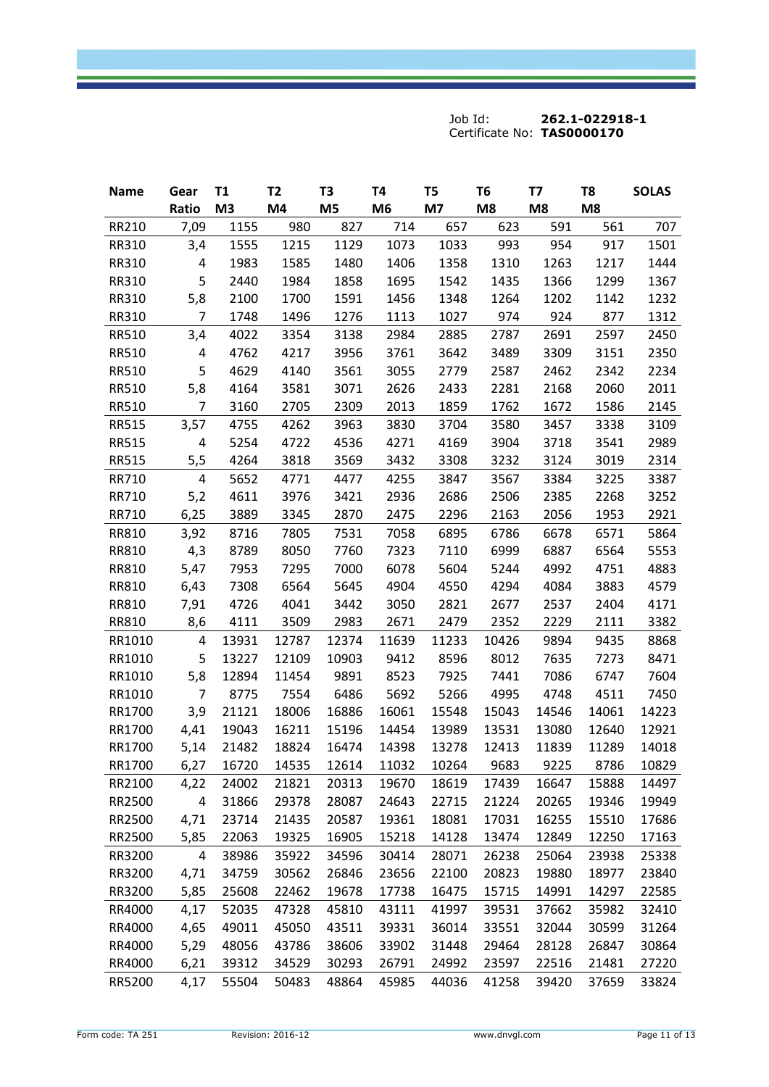| <b>Name</b>  | Gear           | T1    | T <sub>2</sub> | T3             | T4             | T <sub>5</sub> | T <sub>6</sub> | T7    | T8    | <b>SOLAS</b> |
|--------------|----------------|-------|----------------|----------------|----------------|----------------|----------------|-------|-------|--------------|
|              | Ratio          | M3    | M4             | M <sub>5</sub> | M <sub>6</sub> | M7             | M8             | M8    | M8    |              |
| RR210        | 7,09           | 1155  | 980            | 827            | 714            | 657            | 623            | 591   | 561   | 707          |
| RR310        | 3,4            | 1555  | 1215           | 1129           | 1073           | 1033           | 993            | 954   | 917   | 1501         |
| RR310        | 4              | 1983  | 1585           | 1480           | 1406           | 1358           | 1310           | 1263  | 1217  | 1444         |
| RR310        | 5              | 2440  | 1984           | 1858           | 1695           | 1542           | 1435           | 1366  | 1299  | 1367         |
| RR310        | 5,8            | 2100  | 1700           | 1591           | 1456           | 1348           | 1264           | 1202  | 1142  | 1232         |
| RR310        | 7              | 1748  | 1496           | 1276           | 1113           | 1027           | 974            | 924   | 877   | 1312         |
| RR510        | 3,4            | 4022  | 3354           | 3138           | 2984           | 2885           | 2787           | 2691  | 2597  | 2450         |
| RR510        | 4              | 4762  | 4217           | 3956           | 3761           | 3642           | 3489           | 3309  | 3151  | 2350         |
| <b>RR510</b> | 5              | 4629  | 4140           | 3561           | 3055           | 2779           | 2587           | 2462  | 2342  | 2234         |
| <b>RR510</b> | 5,8            | 4164  | 3581           | 3071           | 2626           | 2433           | 2281           | 2168  | 2060  | 2011         |
| RR510        | $\overline{7}$ | 3160  | 2705           | 2309           | 2013           | 1859           | 1762           | 1672  | 1586  | 2145         |
| <b>RR515</b> | 3,57           | 4755  | 4262           | 3963           | 3830           | 3704           | 3580           | 3457  | 3338  | 3109         |
| <b>RR515</b> | 4              | 5254  | 4722           | 4536           | 4271           | 4169           | 3904           | 3718  | 3541  | 2989         |
| <b>RR515</b> | 5,5            | 4264  | 3818           | 3569           | 3432           | 3308           | 3232           | 3124  | 3019  | 2314         |
| RR710        | 4              | 5652  | 4771           | 4477           | 4255           | 3847           | 3567           | 3384  | 3225  | 3387         |
| RR710        | 5,2            | 4611  | 3976           | 3421           | 2936           | 2686           | 2506           | 2385  | 2268  | 3252         |
| RR710        | 6,25           | 3889  | 3345           | 2870           | 2475           | 2296           | 2163           | 2056  | 1953  | 2921         |
| RR810        | 3,92           | 8716  | 7805           | 7531           | 7058           | 6895           | 6786           | 6678  | 6571  | 5864         |
| RR810        | 4,3            | 8789  | 8050           | 7760           | 7323           | 7110           | 6999           | 6887  | 6564  | 5553         |
| RR810        | 5,47           | 7953  | 7295           | 7000           | 6078           | 5604           | 5244           | 4992  | 4751  | 4883         |
| RR810        | 6,43           | 7308  | 6564           | 5645           | 4904           | 4550           | 4294           | 4084  | 3883  | 4579         |
| RR810        | 7,91           | 4726  | 4041           | 3442           | 3050           | 2821           | 2677           | 2537  | 2404  | 4171         |
| RR810        | 8,6            | 4111  | 3509           | 2983           | 2671           | 2479           | 2352           | 2229  | 2111  | 3382         |
| RR1010       | 4              | 13931 | 12787          | 12374          | 11639          | 11233          | 10426          | 9894  | 9435  | 8868         |
| RR1010       | 5              | 13227 | 12109          | 10903          | 9412           | 8596           | 8012           | 7635  | 7273  | 8471         |
| RR1010       | 5,8            | 12894 | 11454          | 9891           | 8523           | 7925           | 7441           | 7086  | 6747  | 7604         |
| RR1010       | $\overline{7}$ | 8775  | 7554           | 6486           | 5692           | 5266           | 4995           | 4748  | 4511  | 7450         |
| RR1700       | 3,9            | 21121 | 18006          | 16886          | 16061          | 15548          | 15043          | 14546 | 14061 | 14223        |
| RR1700       | 4,41           | 19043 | 16211          | 15196          | 14454          | 13989          | 13531          | 13080 | 12640 | 12921        |
| RR1700       | 5,14           | 21482 | 18824          | 16474          | 14398          | 13278          | 12413          | 11839 | 11289 | 14018        |
| RR1700       | 6,27           | 16720 | 14535          | 12614          | 11032          | 10264          | 9683           | 9225  | 8786  | 10829        |
| RR2100       | 4,22           | 24002 | 21821          | 20313          | 19670          | 18619          | 17439          | 16647 | 15888 | 14497        |
| RR2500       | 4              | 31866 | 29378          | 28087          | 24643          | 22715          | 21224          | 20265 | 19346 | 19949        |
| RR2500       | 4,71           | 23714 | 21435          | 20587          | 19361          | 18081          | 17031          | 16255 | 15510 | 17686        |
| RR2500       | 5,85           | 22063 | 19325          | 16905          | 15218          | 14128          | 13474          | 12849 | 12250 | 17163        |
| RR3200       | 4              | 38986 | 35922          | 34596          | 30414          | 28071          | 26238          | 25064 | 23938 | 25338        |
| RR3200       | 4,71           | 34759 | 30562          | 26846          | 23656          | 22100          | 20823          | 19880 | 18977 | 23840        |
| RR3200       | 5,85           | 25608 | 22462          | 19678          | 17738          | 16475          | 15715          | 14991 | 14297 | 22585        |
| RR4000       | 4,17           | 52035 | 47328          | 45810          | 43111          | 41997          | 39531          | 37662 | 35982 | 32410        |
| RR4000       | 4,65           | 49011 | 45050          | 43511          | 39331          | 36014          | 33551          | 32044 | 30599 | 31264        |
| RR4000       | 5,29           | 48056 | 43786          | 38606          | 33902          | 31448          | 29464          | 28128 | 26847 | 30864        |
| RR4000       | 6,21           | 39312 | 34529          | 30293          | 26791          | 24992          | 23597          | 22516 | 21481 | 27220        |
| RR5200       | 4,17           | 55504 | 50483          | 48864          | 45985          | 44036          | 41258          | 39420 | 37659 | 33824        |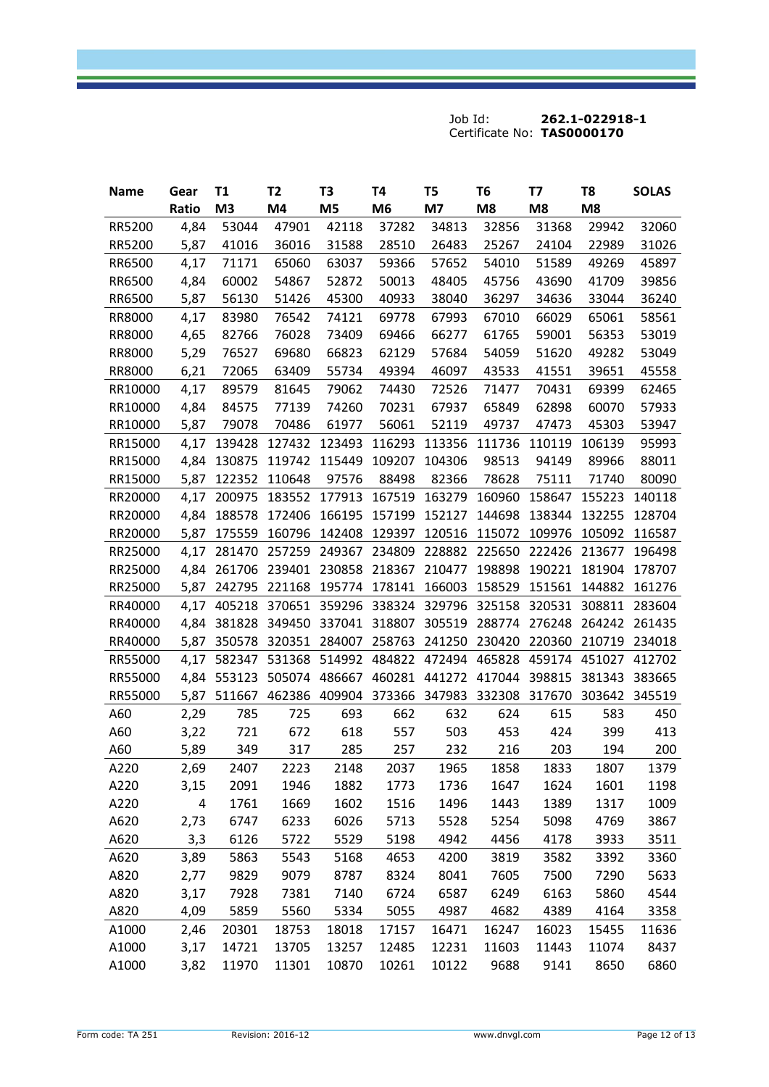| <b>Name</b> | Gear  | T1     | T <sub>2</sub> | T3                                        | T4             | T5                   | T <sub>6</sub>       | T7     | T8            | <b>SOLAS</b> |
|-------------|-------|--------|----------------|-------------------------------------------|----------------|----------------------|----------------------|--------|---------------|--------------|
|             | Ratio | M3     | M4             | M <sub>5</sub>                            | M <sub>6</sub> | M7                   | M8                   | M8     | M8            |              |
| RR5200      | 4,84  | 53044  | 47901          | 42118                                     | 37282          | 34813                | 32856                | 31368  | 29942         | 32060        |
| RR5200      | 5,87  | 41016  | 36016          | 31588                                     | 28510          | 26483                | 25267                | 24104  | 22989         | 31026        |
| RR6500      | 4,17  | 71171  | 65060          | 63037                                     | 59366          | 57652                | 54010                | 51589  | 49269         | 45897        |
| RR6500      | 4,84  | 60002  | 54867          | 52872                                     | 50013          | 48405                | 45756                | 43690  | 41709         | 39856        |
| RR6500      | 5,87  | 56130  | 51426          | 45300                                     | 40933          | 38040                | 36297                | 34636  | 33044         | 36240        |
| RR8000      | 4,17  | 83980  | 76542          | 74121                                     | 69778          | 67993                | 67010                | 66029  | 65061         | 58561        |
| RR8000      | 4,65  | 82766  | 76028          | 73409                                     | 69466          | 66277                | 61765                | 59001  | 56353         | 53019        |
| RR8000      | 5,29  | 76527  | 69680          | 66823                                     | 62129          | 57684                | 54059                | 51620  | 49282         | 53049        |
| RR8000      | 6,21  | 72065  | 63409          | 55734                                     | 49394          | 46097                | 43533                | 41551  | 39651         | 45558        |
| RR10000     | 4,17  | 89579  | 81645          | 79062                                     | 74430          | 72526                | 71477                | 70431  | 69399         | 62465        |
| RR10000     | 4,84  | 84575  | 77139          | 74260                                     | 70231          | 67937                | 65849                | 62898  | 60070         | 57933        |
| RR10000     | 5,87  | 79078  | 70486          | 61977                                     | 56061          | 52119                | 49737                | 47473  | 45303         | 53947        |
| RR15000     | 4,17  | 139428 | 127432         | 123493                                    | 116293         |                      | 113356 111736 110119 |        | 106139        | 95993        |
| RR15000     | 4,84  | 130875 | 119742         | 115449                                    | 109207         | 104306               | 98513                | 94149  | 89966         | 88011        |
| RR15000     | 5,87  | 122352 | 110648         | 97576                                     | 88498          | 82366                | 78628                | 75111  | 71740         | 80090        |
| RR20000     | 4,17  | 200975 | 183552         | 177913                                    | 167519         | 163279               | 160960               | 158647 | 155223        | 140118       |
| RR20000     | 4,84  | 188578 | 172406         | 166195                                    | 157199         | 152127               | 144698               | 138344 | 132255        | 128704       |
| RR20000     | 5,87  | 175559 | 160796         | 142408                                    | 129397         | 120516               | 115072               | 109976 | 105092        | 116587       |
| RR25000     | 4,17  | 281470 |                | 257259 249367                             | 234809         |                      | 228882 225650        | 222426 | 213677        | 196498       |
| RR25000     | 4,84  | 261706 |                | 239401 230858                             | 218367         | 210477               | 198898               |        | 190221 181904 | 178707       |
| RR25000     | 5,87  | 242795 | 221168         | 195774                                    | 178141         | 166003               | 158529               | 151561 | 144882        | 161276       |
| RR40000     | 4,17  | 405218 | 370651         | 359296                                    | 338324         | 329796               | 325158               | 320531 | 308811        | 283604       |
| RR40000     | 4,84  |        | 381828 349450  | 337041                                    | 318807         | 305519               | 288774               | 276248 | 264242        | 261435       |
| RR40000     | 5,87  | 350578 | 320351         | 284007                                    | 258763         | 241250               | 230420               | 220360 | 210719        | 234018       |
| RR55000     | 4,17  | 582347 | 531368         | 514992 484822 472494 465828 459174 451027 |                |                      |                      |        |               | 412702       |
| RR55000     | 4,84  | 553123 | 505074         | 486667                                    |                | 460281 441272 417044 |                      | 398815 | 381343        | 383665       |
| RR55000     | 5,87  | 511667 | 462386         | 409904                                    |                | 373366 347983        | 332308               | 317670 | 303642        | 345519       |
| A60         | 2,29  | 785    | 725            | 693                                       | 662            | 632                  | 624                  | 615    | 583           | 450          |
| A60         | 3,22  | 721    | 672            | 618                                       | 557            | 503                  | 453                  | 424    | 399           | 413          |
| A60         | 5,89  | 349    | 317            | 285                                       | 257            | 232                  | 216                  | 203    | 194           | 200          |
| A220        | 2,69  | 2407   | 2223           | 2148                                      | 2037           | 1965                 | 1858                 | 1833   | 1807          | 1379         |
| A220        | 3,15  | 2091   | 1946           | 1882                                      | 1773           | 1736                 | 1647                 | 1624   | 1601          | 1198         |
| A220        | 4     | 1761   | 1669           | 1602                                      | 1516           | 1496                 | 1443                 | 1389   | 1317          | 1009         |
| A620        | 2,73  | 6747   | 6233           | 6026                                      | 5713           | 5528                 | 5254                 | 5098   | 4769          | 3867         |
| A620        | 3,3   | 6126   | 5722           | 5529                                      | 5198           | 4942                 | 4456                 | 4178   | 3933          | 3511         |
| A620        | 3,89  | 5863   | 5543           | 5168                                      | 4653           | 4200                 | 3819                 | 3582   | 3392          | 3360         |
| A820        | 2,77  | 9829   | 9079           | 8787                                      | 8324           | 8041                 | 7605                 | 7500   | 7290          | 5633         |
| A820        | 3,17  | 7928   | 7381           | 7140                                      | 6724           | 6587                 | 6249                 | 6163   | 5860          | 4544         |
| A820        | 4,09  | 5859   | 5560           | 5334                                      | 5055           | 4987                 | 4682                 | 4389   | 4164          | 3358         |
| A1000       | 2,46  | 20301  | 18753          | 18018                                     | 17157          | 16471                | 16247                | 16023  | 15455         | 11636        |
| A1000       | 3,17  | 14721  | 13705          | 13257                                     | 12485          | 12231                | 11603                | 11443  | 11074         | 8437         |
| A1000       | 3,82  | 11970  | 11301          | 10870                                     | 10261          | 10122                | 9688                 | 9141   | 8650          | 6860         |